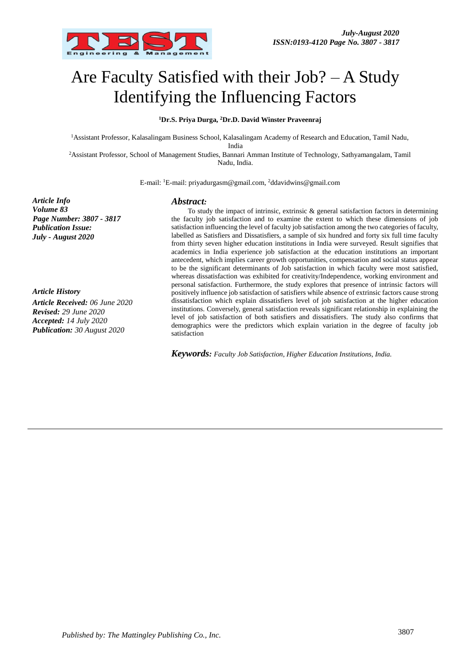

# Are Faculty Satisfied with their Job? – A Study Identifying the Influencing Factors

#### **<sup>1</sup>Dr.S. Priya Durga, <sup>2</sup>Dr.D. David Winster Praveenraj**

<sup>1</sup>Assistant Professor, Kalasalingam Business School, Kalasalingam Academy of Research and Education, Tamil Nadu,

India

<sup>2</sup>Assistant Professor, School of Management Studies, Bannari Amman Institute of Technology, Sathyamangalam, Tamil Nadu, India.

E-mail: <sup>1</sup>E-mail: priyadurgasm@gmail.com, <sup>2</sup>ddavidwins@gmail.com

*Article Info Volume 83 Page Number: 3807 - 3817 Publication Issue: July - August 2020*

*Article History Article Received: 06 June 2020 Revised: 29 June 2020 Accepted: 14 July 2020 Publication: 30 August 2020*

#### *Abstract:*

To study the impact of intrinsic, extrinsic  $\&$  general satisfaction factors in determining the faculty job satisfaction and to examine the extent to which these dimensions of job satisfaction influencing the level of faculty job satisfaction among the two categories of faculty, labelled as Satisfiers and Dissatisfiers, a sample of six hundred and forty six full time faculty from thirty seven higher education institutions in India were surveyed. Result signifies that academics in India experience job satisfaction at the education institutions an important antecedent, which implies career growth opportunities, compensation and social status appear to be the significant determinants of Job satisfaction in which faculty were most satisfied, whereas dissatisfaction was exhibited for creativity/Independence, working environment and personal satisfaction. Furthermore, the study explores that presence of intrinsic factors will positively influence job satisfaction of satisfiers while absence of extrinsic factors cause strong dissatisfaction which explain dissatisfiers level of job satisfaction at the higher education institutions. Conversely, general satisfaction reveals significant relationship in explaining the level of job satisfaction of both satisfiers and dissatisfiers. The study also confirms that demographics were the predictors which explain variation in the degree of faculty job satisfaction

*Keywords: Faculty Job Satisfaction, Higher Education Institutions, India.*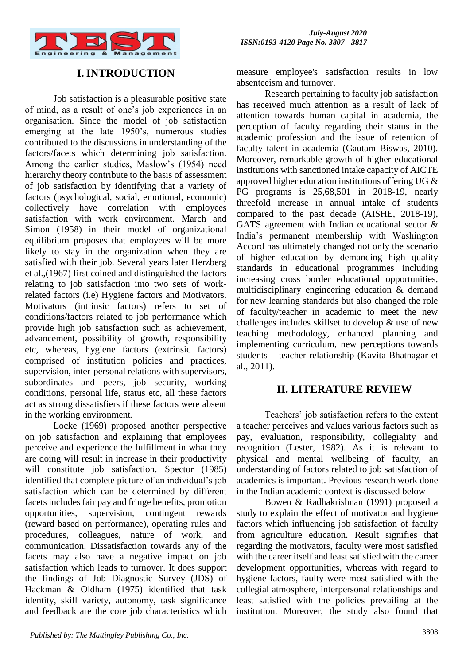

# **I.INTRODUCTION**

Job satisfaction is a pleasurable positive state of mind, as a result of one's job experiences in an organisation. Since the model of job satisfaction emerging at the late 1950's, numerous studies contributed to the discussions in understanding of the factors/facets which determining job satisfaction. Among the earlier studies, Maslow's (1954) need hierarchy theory contribute to the basis of assessment of job satisfaction by identifying that a variety of factors (psychological, social, emotional, economic) collectively have correlation with employees satisfaction with work environment. March and Simon (1958) in their model of organizational equilibrium proposes that employees will be more likely to stay in the organization when they are satisfied with their job. Several years later Herzberg et al.,(1967) first coined and distinguished the factors relating to job satisfaction into two sets of workrelated factors (i.e) Hygiene factors and Motivators. Motivators (intrinsic factors) refers to set of conditions/factors related to job performance which provide high job satisfaction such as achievement, advancement, possibility of growth, responsibility etc, whereas, hygiene factors (extrinsic factors) comprised of institution policies and practices, supervision, inter-personal relations with supervisors, subordinates and peers, job security, working conditions, personal life, status etc, all these factors act as strong dissatisfiers if these factors were absent in the working environment.

Locke (1969) proposed another perspective on job satisfaction and explaining that employees perceive and experience the fulfillment in what they are doing will result in increase in their productivity will constitute job satisfaction. Spector (1985) identified that complete picture of an individual's job satisfaction which can be determined by different facets includes fair pay and fringe benefits, promotion opportunities, supervision, contingent rewards (reward based on performance), operating rules and procedures, colleagues, nature of work, and communication. Dissatisfaction towards any of the facets may also have a negative impact on job satisfaction which leads to turnover. It does support the findings of Job Diagnostic Survey (JDS) of Hackman & Oldham (1975) identified that task identity, skill variety, autonomy, task significance and feedback are the core job characteristics which

measure employee's satisfaction results in low absenteeism and turnover.

Research pertaining to faculty job satisfaction has received much attention as a result of lack of attention towards human capital in academia, the perception of faculty regarding their status in the academic profession and the issue of retention of faculty talent in academia (Gautam Biswas, 2010). Moreover, remarkable growth of higher educational institutions with sanctioned intake capacity of AICTE approved higher education institutions offering UG & PG programs is 25,68,501 in 2018-19, nearly threefold increase in annual intake of students compared to the past decade (AISHE, 2018-19), GATS agreement with Indian educational sector & India's permanent membership with Washington Accord has ultimately changed not only the scenario of higher education by demanding high quality standards in educational programmes including increasing cross border educational opportunities, multidisciplinary engineering education & demand for new learning standards but also changed the role of faculty/teacher in academic to meet the new challenges includes skillset to develop & use of new teaching methodology, enhanced planning and implementing curriculum, new perceptions towards students – teacher relationship (Kavita Bhatnagar et al., 2011).

## **II. LITERATURE REVIEW**

Teachers' job satisfaction refers to the extent a teacher perceives and values various factors such as pay, evaluation, responsibility, collegiality and recognition (Lester, 1982). As it is relevant to physical and mental wellbeing of faculty, an understanding of factors related to job satisfaction of academics is important. Previous research work done in the Indian academic context is discussed below

Bowen & Radhakrishnan (1991) proposed a study to explain the effect of motivator and hygiene factors which influencing job satisfaction of faculty from agriculture education. Result signifies that regarding the motivators, faculty were most satisfied with the career itself and least satisfied with the career development opportunities, whereas with regard to hygiene factors, faulty were most satisfied with the collegial atmosphere, interpersonal relationships and least satisfied with the policies prevailing at the institution. Moreover, the study also found that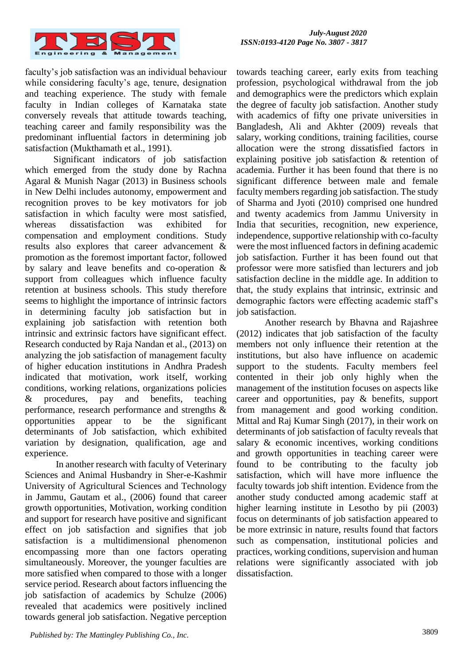

faculty's job satisfaction was an individual behaviour while considering faculty's age, tenure, designation and teaching experience. The study with female faculty in Indian colleges of Karnataka state conversely reveals that attitude towards teaching, teaching career and family responsibility was the predominant influential factors in determining job satisfaction (Mukthamath et al., 1991).

Significant indicators of job satisfaction which emerged from the study done by Rachna Agaral & Munish Nagar (2013) in Business schools in New Delhi includes autonomy, empowerment and recognition proves to be key motivators for job satisfaction in which faculty were most satisfied, whereas dissatisfaction was exhibited for compensation and employment conditions. Study results also explores that career advancement & promotion as the foremost important factor, followed by salary and leave benefits and co-operation & support from colleagues which influence faculty retention at business schools. This study therefore seems to highlight the importance of intrinsic factors in determining faculty job satisfaction but in explaining job satisfaction with retention both intrinsic and extrinsic factors have significant effect. Research conducted by Raja Nandan et al., (2013) on analyzing the job satisfaction of management faculty of higher education institutions in Andhra Pradesh indicated that motivation, work itself, working conditions, working relations, organizations policies & procedures, pay and benefits, teaching performance, research performance and strengths & opportunities appear to be the significant determinants of Job satisfaction, which exhibited variation by designation, qualification, age and experience.

In another research with faculty of Veterinary Sciences and Animal Husbandry in Sher-e-Kashmir University of Agricultural Sciences and Technology in Jammu, Gautam et al., (2006) found that career growth opportunities, Motivation, working condition and support for research have positive and significant effect on job satisfaction and signifies that job satisfaction is a multidimensional phenomenon encompassing more than one factors operating simultaneously. Moreover, the younger faculties are more satisfied when compared to those with a longer service period. Research about factors influencing the job satisfaction of academics by Schulze (2006) revealed that academics were positively inclined towards general job satisfaction. Negative perception

towards teaching career, early exits from teaching profession, psychological withdrawal from the job and demographics were the predictors which explain the degree of faculty job satisfaction. Another study with academics of fifty one private universities in Bangladesh, Ali and Akhter (2009) reveals that salary, working conditions, training facilities, course allocation were the strong dissatisfied factors in explaining positive job satisfaction & retention of academia. Further it has been found that there is no significant difference between male and female faculty members regarding job satisfaction. The study of Sharma and Jyoti (2010) comprised one hundred and twenty academics from Jammu University in India that securities, recognition, new experience, independence, supportive relationship with co-faculty were the most influenced factors in defining academic job satisfaction. Further it has been found out that professor were more satisfied than lecturers and job satisfaction decline in the middle age. In addition to that, the study explains that intrinsic, extrinsic and demographic factors were effecting academic staff's job satisfaction.

Another research by Bhavna and Rajashree (2012) indicates that job satisfaction of the faculty members not only influence their retention at the institutions, but also have influence on academic support to the students. Faculty members feel contented in their job only highly when the management of the institution focuses on aspects like career and opportunities, pay & benefits, support from management and good working condition. Mittal and Raj Kumar Singh (2017), in their work on determinants of job satisfaction of faculty reveals that salary & economic incentives, working conditions and growth opportunities in teaching career were found to be contributing to the faculty job satisfaction, which will have more influence the faculty towards job shift intention. Evidence from the another study conducted among academic staff at higher learning institute in Lesotho by pii (2003) focus on determinants of job satisfaction appeared to be more extrinsic in nature, results found that factors such as compensation, institutional policies and practices, working conditions, supervision and human relations were significantly associated with job dissatisfaction.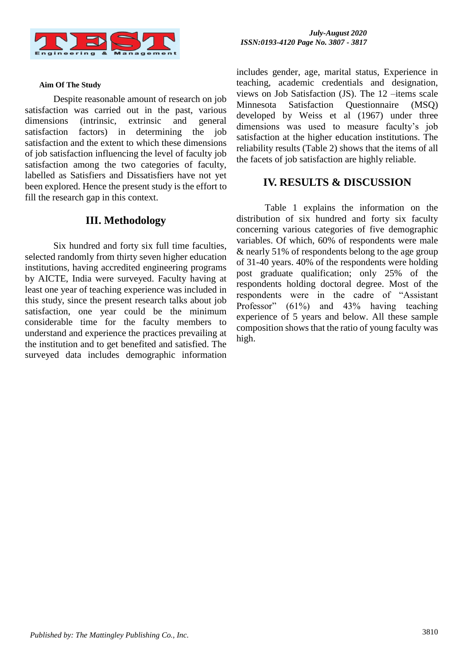

#### **Aim Of The Study**

Despite reasonable amount of research on job satisfaction was carried out in the past, various dimensions (intrinsic, extrinsic and general satisfaction factors) in determining the job satisfaction and the extent to which these dimensions of job satisfaction influencing the level of faculty job satisfaction among the two categories of faculty, labelled as Satisfiers and Dissatisfiers have not yet been explored. Hence the present study is the effort to fill the research gap in this context.

#### **III. Methodology**

Six hundred and forty six full time faculties, selected randomly from thirty seven higher education institutions, having accredited engineering programs by AICTE, India were surveyed. Faculty having at least one year of teaching experience was included in this study, since the present research talks about job satisfaction, one year could be the minimum considerable time for the faculty members to understand and experience the practices prevailing at the institution and to get benefited and satisfied. The surveyed data includes demographic information

includes gender, age, marital status, Experience in teaching, academic credentials and designation, views on Job Satisfaction (JS). The 12 –items scale Minnesota Satisfaction Questionnaire (MSQ) developed by Weiss et al (1967) under three dimensions was used to measure faculty's job satisfaction at the higher education institutions. The reliability results (Table 2) shows that the items of all the facets of job satisfaction are highly reliable.

## **IV. RESULTS & DISCUSSION**

Table 1 explains the information on the distribution of six hundred and forty six faculty concerning various categories of five demographic variables. Of which, 60% of respondents were male & nearly 51% of respondents belong to the age group of 31-40 years. 40% of the respondents were holding post graduate qualification; only 25% of the respondents holding doctoral degree. Most of the respondents were in the cadre of "Assistant Professor" (61%) and 43% having teaching experience of 5 years and below. All these sample composition shows that the ratio of young faculty was high.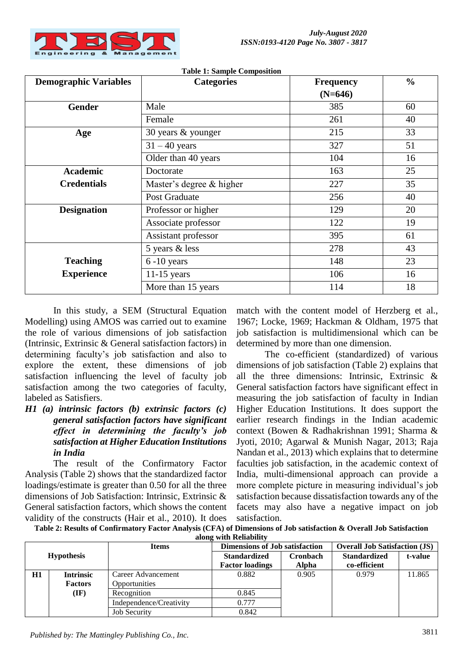

| <b>Demographic Variables</b> | rusie 1. sumple composition<br><b>Categories</b> | <b>Frequency</b> | $\frac{0}{0}$ |  |
|------------------------------|--------------------------------------------------|------------------|---------------|--|
|                              |                                                  | $(N=646)$        |               |  |
| <b>Gender</b>                | Male                                             | 385              | 60            |  |
|                              | Female                                           | 261              | 40            |  |
| Age                          | 30 years & younger                               | 215              | 33            |  |
|                              | $31 - 40$ years                                  | 327              | 51            |  |
|                              | Older than 40 years                              | 104              | 16            |  |
| <b>Academic</b>              | Doctorate                                        | 163              | 25            |  |
| <b>Credentials</b>           | Master's degree & higher                         | 227              | 35            |  |
|                              | Post Graduate                                    | 256              | 40            |  |
| <b>Designation</b>           | Professor or higher                              | 129              | 20            |  |
|                              | Associate professor                              | 122              | 19            |  |
|                              | Assistant professor                              | 395              | 61            |  |
|                              | 5 years & less                                   | 278              | 43            |  |
| <b>Teaching</b>              | $6 - 10$ years                                   | 148              | 23            |  |
| <b>Experience</b>            | $11-15$ years                                    | 106              | 16            |  |
|                              | More than 15 years                               | 114              | 18            |  |

**Table 1: Sample Composition**

In this study, a SEM (Structural Equation Modelling) using AMOS was carried out to examine the role of various dimensions of job satisfaction (Intrinsic, Extrinsic & General satisfaction factors) in determining faculty's job satisfaction and also to explore the extent, these dimensions of job satisfaction influencing the level of faculty job satisfaction among the two categories of faculty, labeled as Satisfiers.

## *H1 (a) intrinsic factors (b) extrinsic factors (c) general satisfaction factors have significant effect in determining the faculty's job satisfaction at Higher Education Institutions in India*

The result of the Confirmatory Factor Analysis (Table 2) shows that the standardized factor loadings/estimate is greater than 0.50 for all the three dimensions of Job Satisfaction: Intrinsic, Extrinsic & General satisfaction factors, which shows the content validity of the constructs (Hair et al., 2010). It does match with the content model of Herzberg et al., 1967; Locke, 1969; Hackman & Oldham, 1975 that job satisfaction is multidimensional which can be determined by more than one dimension.

The co-efficient (standardized) of various dimensions of job satisfaction (Table 2) explains that all the three dimensions: Intrinsic, Extrinsic & General satisfaction factors have significant effect in measuring the job satisfaction of faculty in Indian Higher Education Institutions. It does support the earlier research findings in the Indian academic context (Bowen & Radhakrishnan 1991; Sharma & Jyoti, 2010; Agarwal & Munish Nagar, 2013; Raja Nandan et al., 2013) which explains that to determine faculties job satisfaction, in the academic context of India, multi-dimensional approach can provide a more complete picture in measuring individual's job satisfaction because dissatisfaction towards any of the facets may also have a negative impact on job satisfaction.

**Table 2: Results of Confirmatory Factor Analysis (CFA) of Dimensions of Job satisfaction & Overall Job Satisfaction along with Reliability**

| <b>Items</b>      |                  | <b>Dimensions of Job satisfaction</b> |                        | <b>Overall Job Satisfaction (JS)</b> |                     |         |
|-------------------|------------------|---------------------------------------|------------------------|--------------------------------------|---------------------|---------|
| <b>Hypothesis</b> |                  |                                       | <b>Standardized</b>    | <b>Cronbach</b>                      | <b>Standardized</b> | t-value |
|                   |                  |                                       | <b>Factor loadings</b> | <b>Alpha</b>                         | co-efficient        |         |
| H1                | <b>Intrinsic</b> | Career Advancement                    | 0.882                  | 0.905                                | 0.979               | 11.865  |
|                   | <b>Factors</b>   | Opportunities                         |                        |                                      |                     |         |
|                   | $(\mathbf{IF})$  | Recognition                           | 0.845                  |                                      |                     |         |
|                   |                  | Independence/Creativity               | 0.777                  |                                      |                     |         |
|                   |                  | <b>Job Security</b>                   | 0.842                  |                                      |                     |         |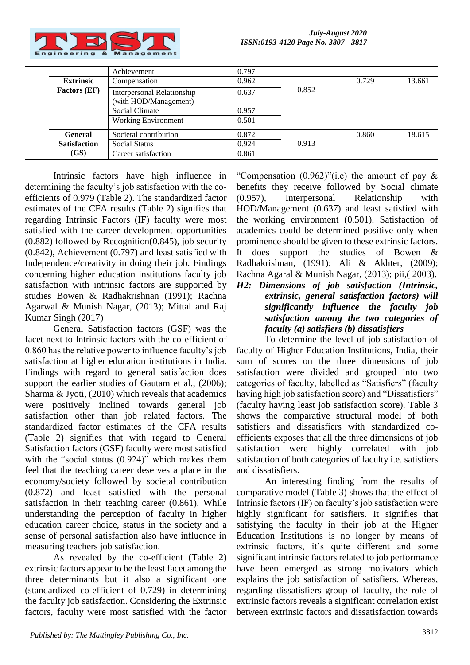

|                     | Achievement                                         | 0.797 |       |       |        |
|---------------------|-----------------------------------------------------|-------|-------|-------|--------|
| <b>Extrinsic</b>    | Compensation                                        | 0.962 |       | 0.729 | 13.661 |
| <b>Factors (EF)</b> | Interpersonal Relationship<br>(with HOD/Management) | 0.637 | 0.852 |       |        |
|                     | Social Climate                                      | 0.957 |       |       |        |
|                     | <b>Working Environment</b>                          | 0.501 |       |       |        |
| <b>General</b>      | Societal contribution                               | 0.872 |       | 0.860 | 18.615 |
| <b>Satisfaction</b> | <b>Social Status</b>                                | 0.924 | 0.913 |       |        |
| (GS)                | Career satisfaction                                 | 0.861 |       |       |        |

Intrinsic factors have high influence in determining the faculty's job satisfaction with the coefficients of 0.979 (Table 2). The standardized factor estimates of the CFA results (Table 2) signifies that regarding Intrinsic Factors (IF) faculty were most satisfied with the career development opportunities (0.882) followed by Recognition(0.845), job security (0.842), Achievement (0.797) and least satisfied with Independence/creativity in doing their job. Findings concerning higher education institutions faculty job satisfaction with intrinsic factors are supported by studies Bowen & Radhakrishnan (1991); Rachna Agarwal & Munish Nagar, (2013); Mittal and Raj Kumar Singh (2017)

General Satisfaction factors (GSF) was the facet next to Intrinsic factors with the co-efficient of 0.860 has the relative power to influence faculty's job satisfaction at higher education institutions in India. Findings with regard to general satisfaction does support the earlier studies of Gautam et al.,  $(2006)$ ; Sharma & Jyoti, (2010) which reveals that academics were positively inclined towards general job satisfaction other than job related factors. The standardized factor estimates of the CFA results (Table 2) signifies that with regard to General Satisfaction factors (GSF) faculty were most satisfied with the "social status (0.924)" which makes them feel that the teaching career deserves a place in the economy/society followed by societal contribution (0.872) and least satisfied with the personal satisfaction in their teaching career (0.861). While understanding the perception of faculty in higher education career choice, status in the society and a sense of personal satisfaction also have influence in measuring teachers job satisfaction.

As revealed by the co-efficient (Table 2) extrinsic factors appear to be the least facet among the three determinants but it also a significant one (standardized co-efficient of 0.729) in determining the faculty job satisfaction. Considering the Extrinsic factors, faculty were most satisfied with the factor

"Compensation  $(0.962)$ "(i.e) the amount of pay  $\&$ benefits they receive followed by Social climate (0.957), Interpersonal Relationship with HOD/Management (0.637) and least satisfied with the working environment (0.501). Satisfaction of academics could be determined positive only when prominence should be given to these extrinsic factors. It does support the studies of Bowen & Radhakrishnan, (1991); Ali & Akhter, (2009); Rachna Agaral & Munish Nagar, (2013); pii,( 2003).

## *H2: Dimensions of job satisfaction (Intrinsic, extrinsic, general satisfaction factors) will significantly influence the faculty job satisfaction among the two categories of faculty (a) satisfiers (b) dissatisfiers*

To determine the level of job satisfaction of faculty of Higher Education Institutions, India, their sum of scores on the three dimensions of job satisfaction were divided and grouped into two categories of faculty, labelled as "Satisfiers" (faculty having high job satisfaction score) and "Dissatisfiers" (faculty having least job satisfaction score). Table 3 shows the comparative structural model of both satisfiers and dissatisfiers with standardized coefficients exposes that all the three dimensions of job satisfaction were highly correlated with job satisfaction of both categories of faculty i.e. satisfiers and dissatisfiers.

An interesting finding from the results of comparative model (Table 3) shows that the effect of Intrinsic factors (IF) on faculty's job satisfaction were highly significant for satisfiers. It signifies that satisfying the faculty in their job at the Higher Education Institutions is no longer by means of extrinsic factors, it's quite different and some significant intrinsic factors related to job performance have been emerged as strong motivators which explains the job satisfaction of satisfiers. Whereas, regarding dissatisfiers group of faculty, the role of extrinsic factors reveals a significant correlation exist between extrinsic factors and dissatisfaction towards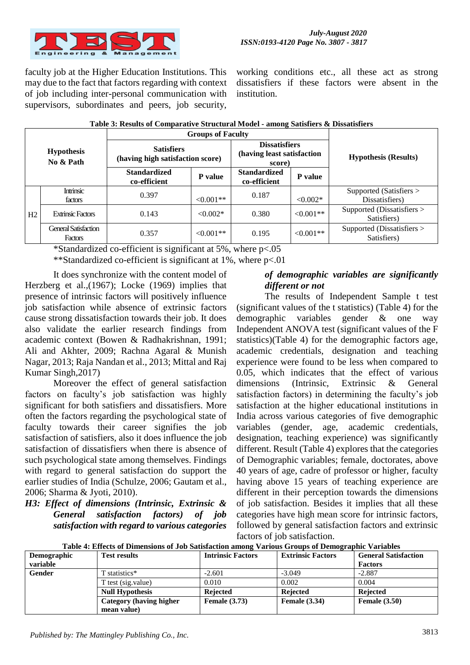

faculty job at the Higher Education Institutions. This may due to the fact that factors regarding with context of job including inter-personal communication with supervisors, subordinates and peers, job security,

working conditions etc., all these act as strong dissatisfiers if these factors were absent in the institution.

| <b>Hypothesis</b><br>No & Path |                                        | <b>Groups of Faculty</b>                              |                |                                                              |             |                                           |  |
|--------------------------------|----------------------------------------|-------------------------------------------------------|----------------|--------------------------------------------------------------|-------------|-------------------------------------------|--|
|                                |                                        | <b>Satisfiers</b><br>(having high satisfaction score) |                | <b>Dissatisfiers</b><br>(having least satisfaction<br>score) |             | <b>Hypothesis (Results)</b>               |  |
|                                |                                        | <b>Standardized</b><br>co-efficient                   | P value        | <b>Standardized</b><br>co-efficient                          | P value     |                                           |  |
|                                | Intrinsic<br>factors                   | 0.397                                                 | $\leq 0.001**$ | 0.187                                                        | $< 0.002*$  | Supported (Satisfiers ><br>Dissatisfiers) |  |
| H2                             | <b>Extrinsic Factors</b>               | 0.143                                                 | $< 0.002*$     | 0.380                                                        | $< 0.001**$ | Supported (Dissatisfiers ><br>Satisfiers) |  |
|                                | <b>General Satisfaction</b><br>Factors | 0.357                                                 | $\leq 0.001**$ | 0.195                                                        | $< 0.001**$ | Supported (Dissatisfiers ><br>Satisfiers) |  |

|  | Table 3: Results of Comparative Structural Model - among Satisfiers & Dissatisfiers |  |
|--|-------------------------------------------------------------------------------------|--|
|  |                                                                                     |  |

\*Standardized co-efficient is significant at 5%, where p<.05

\*\*Standardized co-efficient is significant at 1%, where p<.01

It does synchronize with the content model of Herzberg et al.,(1967); Locke (1969) implies that presence of intrinsic factors will positively influence job satisfaction while absence of extrinsic factors cause strong dissatisfaction towards their job. It does also validate the earlier research findings from academic context (Bowen & Radhakrishnan, 1991; Ali and Akhter, 2009; Rachna Agaral & Munish Nagar, 2013; Raja Nandan et al., 2013; Mittal and Raj Kumar Singh,2017)

Moreover the effect of general satisfaction factors on faculty's job satisfaction was highly significant for both satisfiers and dissatisfiers. More often the factors regarding the psychological state of faculty towards their career signifies the job satisfaction of satisfiers, also it does influence the job satisfaction of dissatisfiers when there is absence of such psychological state among themselves. Findings with regard to general satisfaction do support the earlier studies of India (Schulze, 2006; Gautam et al., 2006; Sharma & Jyoti, 2010).

*H3: Effect of dimensions (Intrinsic, Extrinsic & General satisfaction factors) of job satisfaction with regard to various categories* 

## *of demographic variables are significantly different or not*

The results of Independent Sample t test (significant values of the t statistics) (Table 4) for the demographic variables gender & one way Independent ANOVA test (significant values of the F statistics)(Table 4) for the demographic factors age, academic credentials, designation and teaching experience were found to be less when compared to 0.05, which indicates that the effect of various dimensions (Intrinsic, Extrinsic & General satisfaction factors) in determining the faculty's job satisfaction at the higher educational institutions in India across various categories of five demographic variables (gender, age, academic credentials, designation, teaching experience) was significantly different. Result (Table 4) explores that the categories of Demographic variables; female, doctorates, above 40 years of age, cadre of professor or higher, faculty having above 15 years of teaching experience are different in their perception towards the dimensions of job satisfaction. Besides it implies that all these categories have high mean score for intrinsic factors, followed by general satisfaction factors and extrinsic factors of job satisfaction.

| Demographic | <b>Test results</b>     | <b>Intrinsic Factors</b> | <b>Extrinsic Factors</b> | <b>General Satisfaction</b> |  |  |
|-------------|-------------------------|--------------------------|--------------------------|-----------------------------|--|--|
| variable    |                         |                          |                          | <b>Factors</b>              |  |  |
| Gender      | T statistics*           | $-2.601$                 | $-3.049$                 | $-2.887$                    |  |  |
|             | T test (sig.value)      | 0.010                    | 0.002                    | 0.004                       |  |  |
|             | <b>Null Hypothesis</b>  | <b>Rejected</b>          | <b>Rejected</b>          | <b>Rejected</b>             |  |  |
|             | Category (having higher | <b>Female</b> (3.73)     | <b>Female</b> (3.34)     | <b>Female</b> (3.50)        |  |  |
|             | mean value)             |                          |                          |                             |  |  |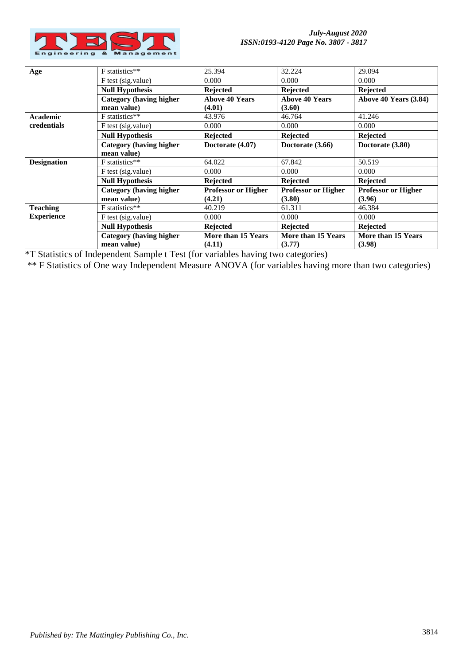

| Age                | F statistics**                                 | 25.394                     | 32.224                     | 29.094                     |
|--------------------|------------------------------------------------|----------------------------|----------------------------|----------------------------|
|                    | F test (sig.value)                             | 0.000                      | 0.000                      | 0.000                      |
|                    | <b>Null Hypothesis</b>                         | <b>Rejected</b>            | <b>Rejected</b>            | <b>Rejected</b>            |
|                    | <b>Category (having higher)</b>                | <b>Above 40 Years</b>      | <b>Above 40 Years</b>      | Above 40 Years (3.84)      |
|                    | mean value)                                    | (4.01)                     | (3.60)                     |                            |
| <b>Academic</b>    | F statistics**                                 | 43.976                     | 46.764                     | 41.246                     |
| credentials        | F test (sig.value)                             | 0.000                      | 0.000                      | 0.000                      |
|                    | <b>Null Hypothesis</b>                         | <b>Rejected</b>            | <b>Rejected</b>            | <b>Rejected</b>            |
|                    | <b>Category (having higher)</b><br>mean value) | Doctorate (4.07)           | Doctorate (3.66)           | Doctorate (3.80)           |
| <b>Designation</b> | F statistics**                                 | 64.022                     | 67.842                     | 50.519                     |
|                    | F test (sig.value)                             | 0.000                      | 0.000                      | 0.000                      |
|                    | <b>Null Hypothesis</b>                         | <b>Rejected</b>            | <b>Rejected</b>            | <b>Rejected</b>            |
|                    | <b>Category (having higher)</b>                | <b>Professor or Higher</b> | <b>Professor or Higher</b> | <b>Professor or Higher</b> |
|                    | mean value)                                    | (4.21)                     | (3.80)                     | (3.96)                     |
| <b>Teaching</b>    | F statistics**                                 | 40.219                     | 61.311                     | 46.384                     |
| <b>Experience</b>  | F test (sig.value)                             | 0.000                      | 0.000                      | 0.000                      |
|                    | <b>Null Hypothesis</b>                         | <b>Rejected</b>            | <b>Rejected</b>            | <b>Rejected</b>            |
|                    | <b>Category (having higher)</b>                | More than 15 Years         | More than 15 Years         | More than 15 Years         |
|                    | mean value)                                    | (4.11)                     | (3.77)                     | (3.98)                     |

\*T Statistics of Independent Sample t Test (for variables having two categories)

\*\* F Statistics of One way Independent Measure ANOVA (for variables having more than two categories)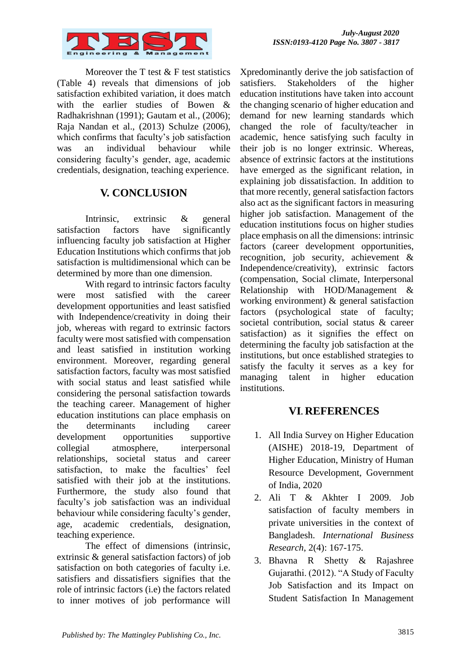

Moreover the T test  $&$  F test statistics (Table 4) reveals that dimensions of job satisfaction exhibited variation, it does match with the earlier studies of Bowen & Radhakrishnan (1991); Gautam et al., (2006); Raja Nandan et al., (2013) Schulze (2006), which confirms that faculty's job satisfaction was an individual behaviour while considering faculty's gender, age, academic credentials, designation, teaching experience.

# **V. CONCLUSION**

Intrinsic, extrinsic & general satisfaction factors have significantly influencing faculty job satisfaction at Higher Education Institutions which confirms that job satisfaction is multidimensional which can be determined by more than one dimension.

With regard to intrinsic factors faculty were most satisfied with the career development opportunities and least satisfied with Independence/creativity in doing their job, whereas with regard to extrinsic factors faculty were most satisfied with compensation and least satisfied in institution working environment. Moreover, regarding general satisfaction factors, faculty was most satisfied with social status and least satisfied while considering the personal satisfaction towards the teaching career. Management of higher education institutions can place emphasis on the determinants including career development opportunities supportive collegial atmosphere, interpersonal relationships, societal status and career satisfaction, to make the faculties' feel satisfied with their job at the institutions. Furthermore, the study also found that faculty's job satisfaction was an individual behaviour while considering faculty's gender, age, academic credentials, designation, teaching experience.

The effect of dimensions (intrinsic, extrinsic & general satisfaction factors) of job satisfaction on both categories of faculty i.e. satisfiers and dissatisfiers signifies that the role of intrinsic factors (i.e) the factors related to inner motives of job performance will

Xpredominantly derive the job satisfaction of satisfiers. Stakeholders of the higher education institutions have taken into account the changing scenario of higher education and demand for new learning standards which changed the role of faculty/teacher in academic, hence satisfying such faculty in their job is no longer extrinsic. Whereas, absence of extrinsic factors at the institutions have emerged as the significant relation, in explaining job dissatisfaction. In addition to that more recently, general satisfaction factors also act as the significant factors in measuring higher job satisfaction. Management of the education institutions focus on higher studies place emphasis on all the dimensions: intrinsic factors (career development opportunities, recognition, job security, achievement & Independence/creativity), extrinsic factors (compensation, Social climate, Interpersonal Relationship with HOD/Management & working environment) & general satisfaction factors (psychological state of faculty; societal contribution, social status & career satisfaction) as it signifies the effect on determining the faculty job satisfaction at the institutions, but once established strategies to satisfy the faculty it serves as a key for managing talent in higher education institutions.

# **VI. REFERENCES**

- 1. All India Survey on Higher Education (AISHE) 2018-19, Department of Higher Education, Ministry of Human Resource Development, Government of India, 2020
- 2. Ali T & Akhter I 2009. Job satisfaction of faculty members in private universities in the context of Bangladesh. *International Business Research*, 2(4): 167-175.
- 3. Bhavna R Shetty & Rajashree Gujarathi. (2012). "A Study of Faculty Job Satisfaction and its Impact on Student Satisfaction In Management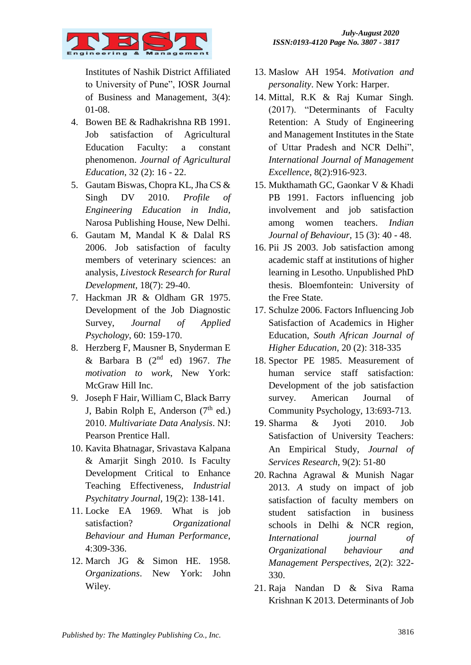

Institutes of Nashik District Affiliated to University of Pune", IOSR Journal of Business and Management, 3(4): 01-08.

- 4. Bowen BE & Radhakrishna RB 1991. Job satisfaction of Agricultural Education Faculty: a constant phenomenon. *Journal of Agricultural Education*, 32 (2): 16 - 22.
- 5. Gautam Biswas, Chopra KL, Jha CS & Singh DV 2010. *Profile of Engineering Education in India*, Narosa Publishing House, New Delhi.
- 6. Gautam M, Mandal K & Dalal RS 2006. Job satisfaction of faculty members of veterinary sciences: an analysis, *Livestock Research for Rural Development,* 18(7): 29-40.
- 7. Hackman JR & Oldham GR 1975. Development of the Job Diagnostic Survey, *Journal of Applied Psychology*, 60: 159-170.
- 8. Herzberg F, Mausner B, Snyderman E & Barbara B (2nd ed) 1967. *The motivation to work*, New York: McGraw Hill Inc.
- 9. Joseph F Hair, William C, Black Barry J, Babin Rolph E, Anderson  $(7<sup>th</sup>$  ed.) 2010. *Multivariate Data Analysis*. NJ: Pearson Prentice Hall.
- 10. Kavita Bhatnagar, Srivastava Kalpana & Amarjit Singh 2010. Is Faculty Development Critical to Enhance Teaching Effectiveness, *Industrial Psychitatry Journal*, 19(2): 138-141.
- 11. Locke EA 1969. What is job satisfaction? *Organizational Behaviour and Human Performance*, 4:309-336.
- 12. March JG & Simon HE. 1958. *Organizations*. New York: John Wiley.
- 13. Maslow AH 1954. *Motivation and personality*. New York: Harper.
- 14. Mittal, R.K & Raj Kumar Singh. (2017). "Determinants of Faculty Retention: A Study of Engineering and Management Institutes in the State of Uttar Pradesh and NCR Delhi", *International Journal of Management Excellence*, 8(2):916-923.
- 15. Mukthamath GC, Gaonkar V & Khadi PB 1991. Factors influencing job involvement and job satisfaction among women teachers. *Indian Journal of Behaviour*, 15 (3): 40 - 48.
- 16. Pii JS 2003. Job satisfaction among academic staff at institutions of higher learning in Lesotho. Unpublished PhD thesis. Bloemfontein: University of the Free State.
- 17. Schulze 2006. Factors Influencing Job Satisfaction of Academics in Higher Education, *South African Journal of Higher Education,* 20 (2): 318-335
- 18. Spector PE 1985. Measurement of human service staff satisfaction: Development of the job satisfaction survey. American Journal of Community Psychology, 13:693-713.
- 19. Sharma & Jyoti 2010. Job Satisfaction of University Teachers: An Empirical Study, *Journal of Services Research,* 9(2): 51-80
- 20. Rachna Agrawal & Munish Nagar 2013. *A* study on impact of job satisfaction of faculty members on student satisfaction in business schools in Delhi & NCR region, *International journal of Organizational behaviour and Management Perspectives,* 2(2): 322- 330.
- 21. Raja Nandan D & Siva Rama Krishnan K 2013. Determinants of Job